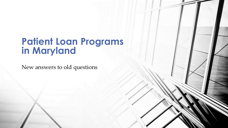## **Patient Loan Programs in Maryland**

New answers to old questions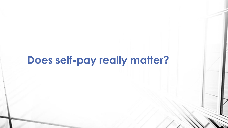## **Does self-pay really matter?**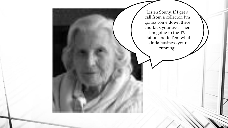d kick your ass. Th I'm going to the TV Listen Sonny. If I get a call from a collector, I'm gonna come down there and kick your ass. Then station and tell'em what kinda business your running!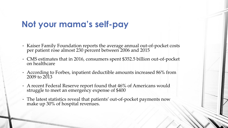### **Not your mama's self-pay**

- Kaiser Family Foundation reports the average annual out-of-pocket costs per patient rose almost 230 percent between 2006 and 2015
- CMS estimates that in 2016, consumers spent \$352.5 billion out-of-pocket on healthcare
- According to Forbes, inpatient deductible amounts increased 86% from 2009 to 2013
- A recent Federal Reserve report found that 46% of Americans would struggle to meet an emergency expense of \$400
- The latest statistics reveal that patients' out-of-pocket payments now make up 30% of hospital revenues.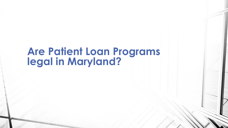## **Are Patient Loan Programs legal in Maryland?**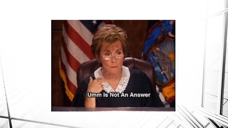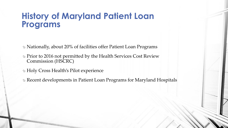#### **History of Maryland Patient Loan Programs**

Nationally, about 20% of facilities offer Patient Loan Programs

- **Prior to 2016 not permitted by the Health Services Cost Review** Commission (HSCRC)
- Holy Cross Health's Pilot experience
- Recent developments in Patient Loan Programs for Maryland Hospitals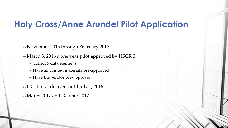### **Holy Cross/Anne Arundel Pilot Application**

November 2015 through February 2016

 $A \rightarrow M$ arch 8, 2016 a one year pilot approved by HSCRC

 $\sqrt{\frac{1}{10}}$  Collect 5 data elements

 $\mathcal N$  Have all printed materials pre-approved

 $\mathscr N$  Have the vendor pre-approved

<sup>⊕</sup> HCH pilot delayed until July 1, 2016

⊕ March 2017 and October 2017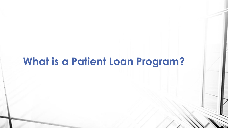# **What is a Patient Loan Program?**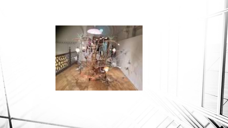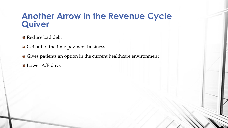#### **Another Arrow in the Revenue Cycle Quiver**

Reduce bad debt

**W** Get out of the time payment business

 $\bullet$  Gives patients an option in the current healthcare environment

Lower A/R days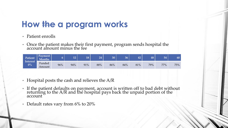## **How the a program works**

- Patient enrolls
- Once the patient makes their first payment, program sends hospital the account amount minus the fee

| Patient<br>Interest<br>$0\%$ | Payment<br><b>Months</b>         |     | а п | 1 <sub>Q</sub> | 24  | $\sim$ $\sim$ | 36  | $\sqrt{2}$ | 48  | 54  | DU  |
|------------------------------|----------------------------------|-----|-----|----------------|-----|---------------|-----|------------|-----|-----|-----|
|                              | $\mathbf{H}$<br>Funded<br>Amount | 96% | 94% | 91%            | 88% | 86%           | 84% | 81%        | 79% | 77% | 75% |

- Hospital posts the cash and relieves the A/R
- If the patient defaults on payment, account is written off to bad debt without returning to the A/R and the hospital pays back the unpaid portion of the account
- Default rates vary from 6% to 20%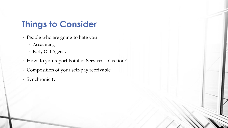## **Things to Consider**

- People who are going to hate you
	- Accounting
	- Early Out Agency
- How do you report Point of Services collection?
- Composition of your self-pay receivable
- Synchronicity